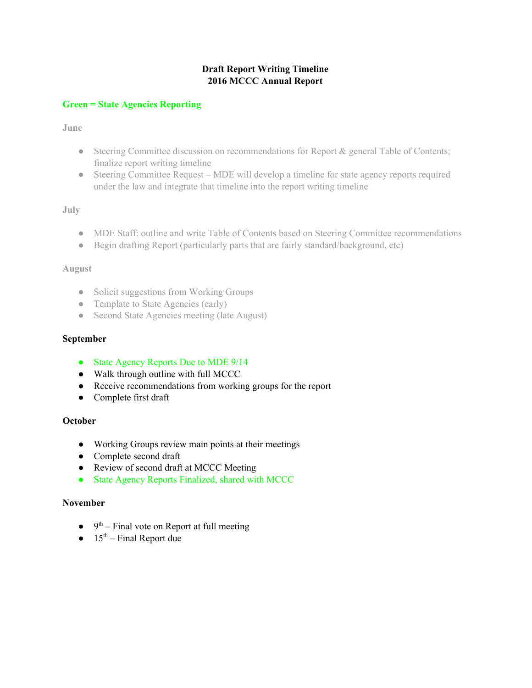# **Draft Report Writing Timeline 2016 MCCC Annual Report**

### **Green = State Agencies Reporting**

### **June**

- Steering Committee discussion on recommendations for Report & general Table of Contents; finalize report writing timeline
- Steering Committee Request MDE will develop a timeline for state agency reports required under the law and integrate that timeline into the report writing timeline

## **July**

- MDE Staff: outline and write Table of Contents based on Steering Committee recommendations
- Begin drafting Report (particularly parts that are fairly standard/background, etc)

#### **August**

- Solicit suggestions from Working Groups
- Template to State Agencies (early)
- Second State Agencies meeting (late August)

### **September**

- State Agency Reports Due to MDE 9/14
- Walk through outline with full MCCC
- Receive recommendations from working groups for the report
- Complete first draft

## **October**

- Working Groups review main points at their meetings
- **●** Complete second draft
- Review of second draft at MCCC Meeting
- State Agency Reports Finalized, shared with MCCC

#### **November**

- $\bullet$  9<sup>th</sup> Final vote on Report at full meeting
- $\bullet$  15<sup>th</sup> Final Report due